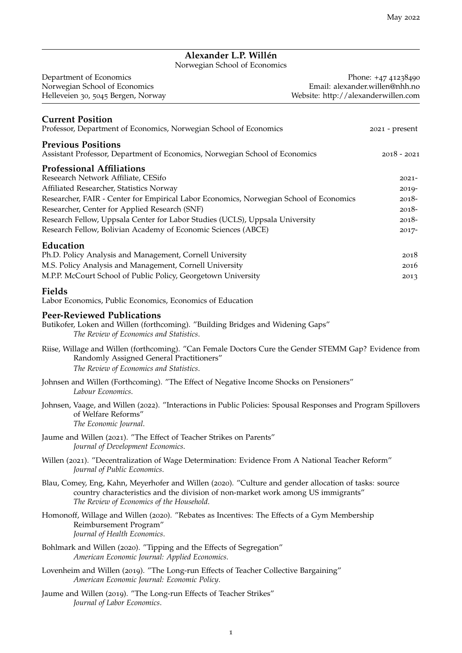# **Alexander L.P. Willén**

Norwegian School of Economics

| Department of Economics            | Phone: +47 41238490                 |
|------------------------------------|-------------------------------------|
| Norwegian School of Economics      | Email: alexander.willen@nhh.no      |
| Helleveien 30, 5045 Bergen, Norway | Website: http://alexanderwillen.com |

| <b>Current Position</b><br>Professor, Department of Economics, Norwegian School of Economics             | 2021 - present |
|----------------------------------------------------------------------------------------------------------|----------------|
| <b>Previous Positions</b><br>Assistant Professor, Department of Economics, Norwegian School of Economics | $2018 - 2021$  |
| <b>Professional Affiliations</b>                                                                         |                |
| Reseearch Network Affiliate, CESifo                                                                      | $2021 -$       |
| Affiliated Researcher, Statistics Norway                                                                 | $2019 -$       |
| Researcher, FAIR - Center for Empirical Labor Economics, Norwegian School of Economics                   | $2018-$        |
| Researcher, Center for Applied Research (SNF)                                                            | $2018-$        |
| Research Fellow, Uppsala Center for Labor Studies (UCLS), Uppsala University                             | $2018-$        |
| Research Fellow, Bolivian Academy of Economic Sciences (ABCE)                                            | $2017 -$       |
| Education                                                                                                |                |
| Ph.D. Policy Analysis and Management, Cornell University                                                 | 2018           |
| M.S. Policy Analysis and Management, Cornell University                                                  | 2016           |
| M.P.P. McCourt School of Public Policy, Georgetown University                                            | 2013           |
| <b>Fields</b><br>Labor Economics, Public Economics, Economics of Education                               |                |

#### **Peer-Reviewed Publications**

Butikofer, Loken and Willen (forthcoming). "Building Bridges and Widening Gaps" *The Review of Economics and Statistics*.

- Riise, Willage and Willen (forthcoming). "Can Female Doctors Cure the Gender STEMM Gap? Evidence from Randomly Assigned General Practitioners" *The Review of Economics and Statistics*.
- Johnsen and Willen (Forthcoming). "The Effect of Negative Income Shocks on Pensioners" *Labour Economics*.
- Johnsen, Vaage, and Willen (2022). "Interactions in Public Policies: Spousal Responses and Program Spillovers of Welfare Reforms" *The Economic Journal*.
- Jaume and Willen (2021). "The Effect of Teacher Strikes on Parents" *Journal of Development Economics*.
- Willen (2021). "Decentralization of Wage Determination: Evidence From A National Teacher Reform" *Journal of Public Economics*.
- Blau, Comey, Eng, Kahn, Meyerhofer and Willen (2020). "Culture and gender allocation of tasks: source country characteristics and the division of non-market work among US immigrants" *The Review of Economics of the Household*.
- Homonoff, Willage and Willen (2020). "Rebates as Incentives: The Effects of a Gym Membership Reimbursement Program" *Journal of Health Economics*.
- Bohlmark and Willen (2020). "Tipping and the Effects of Segregation" *American Economic Journal: Applied Economics*.
- Lovenheim and Willen (2019). "The Long-run Effects of Teacher Collective Bargaining" *American Economic Journal: Economic Policy*.
- Jaume and Willen (2019). "The Long-run Effects of Teacher Strikes" *Journal of Labor Economics*.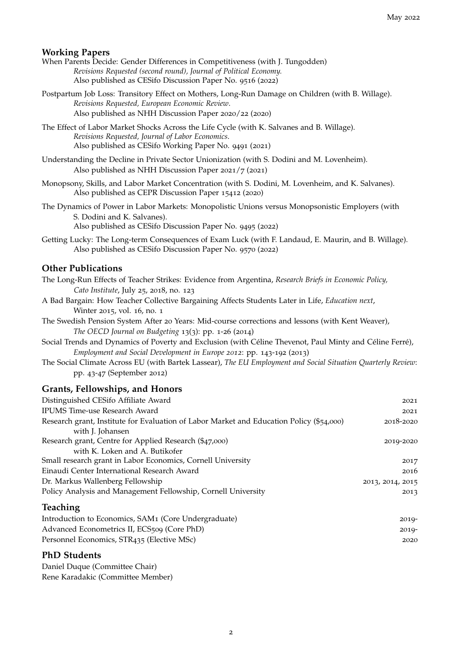#### **Working Papers**

- When Parents Decide: Gender Differences in Competitiveness (with J. Tungodden) *Revisions Requested (second round), Journal of Political Economy.* Also published as CESifo Discussion Paper No. 9516 (2022)
- Postpartum Job Loss: Transitory Effect on Mothers, Long-Run Damage on Children (with B. Willage). *Revisions Requested, European Economic Review*. Also published as NHH Discussion Paper 2020/22 (2020)
- The Effect of Labor Market Shocks Across the Life Cycle (with K. Salvanes and B. Willage). *Revisions Requested, Journal of Labor Economics*. Also published as CESifo Working Paper No. 9491 (2021)
- Understanding the Decline in Private Sector Unionization (with S. Dodini and M. Lovenheim). Also published as NHH Discussion Paper 2021/7 (2021)
- Monopsony, Skills, and Labor Market Concentration (with S. Dodini, M. Lovenheim, and K. Salvanes). Also published as CEPR Discussion Paper 15412 (2020)
- The Dynamics of Power in Labor Markets: Monopolistic Unions versus Monopsonistic Employers (with S. Dodini and K. Salvanes).

Also published as CESifo Discussion Paper No. 9495 (2022)

Getting Lucky: The Long-term Consequences of Exam Luck (with F. Landaud, E. Maurin, and B. Willage). Also published as CESifo Discussion Paper No. 9570 (2022)

#### **Other Publications**

- The Long-Run Effects of Teacher Strikes: Evidence from Argentina, *Research Briefs in Economic Policy, Cato Institute*, July 25, 2018, no. 123
- A Bad Bargain: How Teacher Collective Bargaining Affects Students Later in Life, *Education next*, Winter 2015, vol. 16, no. 1
- The Swedish Pension System After 20 Years: Mid-course corrections and lessons (with Kent Weaver), *The OECD Journal on Budgeting* 13(3): pp. 1-26 (2014)
- Social Trends and Dynamics of Poverty and Exclusion (with Céline Thevenot, Paul Minty and Céline Ferré), *Employment and Social Development in Europe 2012*: pp. 143-192 (2013)
- The Social Climate Across EU (with Bartek Lassear), *The EU Employment and Social Situation Quarterly Review*: pp. 43-47 (September 2012)

#### **Grants, Fellowships, and Honors**

| Distinguished CESifo Affiliate Award                                                     | 2021             |
|------------------------------------------------------------------------------------------|------------------|
| <b>IPUMS Time-use Research Award</b>                                                     | 2021             |
| Research grant, Institute for Evaluation of Labor Market and Education Policy (\$54,000) | 2018-2020        |
| with J. Johansen                                                                         |                  |
| Research grant, Centre for Applied Research (\$47,000)                                   | 2019-2020        |
| with K. Loken and A. Butikofer                                                           |                  |
| Small research grant in Labor Economics, Cornell University                              | 2017             |
| Einaudi Center International Research Award                                              | 2016             |
| Dr. Markus Wallenberg Fellowship                                                         | 2013, 2014, 2015 |
| Policy Analysis and Management Fellowship, Cornell University                            | 2013             |
| <b>Teaching</b>                                                                          |                  |
| Introduction to Economics, SAM <sub>1</sub> (Core Undergraduate)                         | $2019-$          |
|                                                                                          |                  |

Advanced Econometrics II, ECS<sub>509</sub> (Core PhD) 2019-Personnel Economics, STR435 (Elective MSc) 2020

#### **PhD Students**

Daniel Duque (Committee Chair) Rene Karadakic (Committee Member)